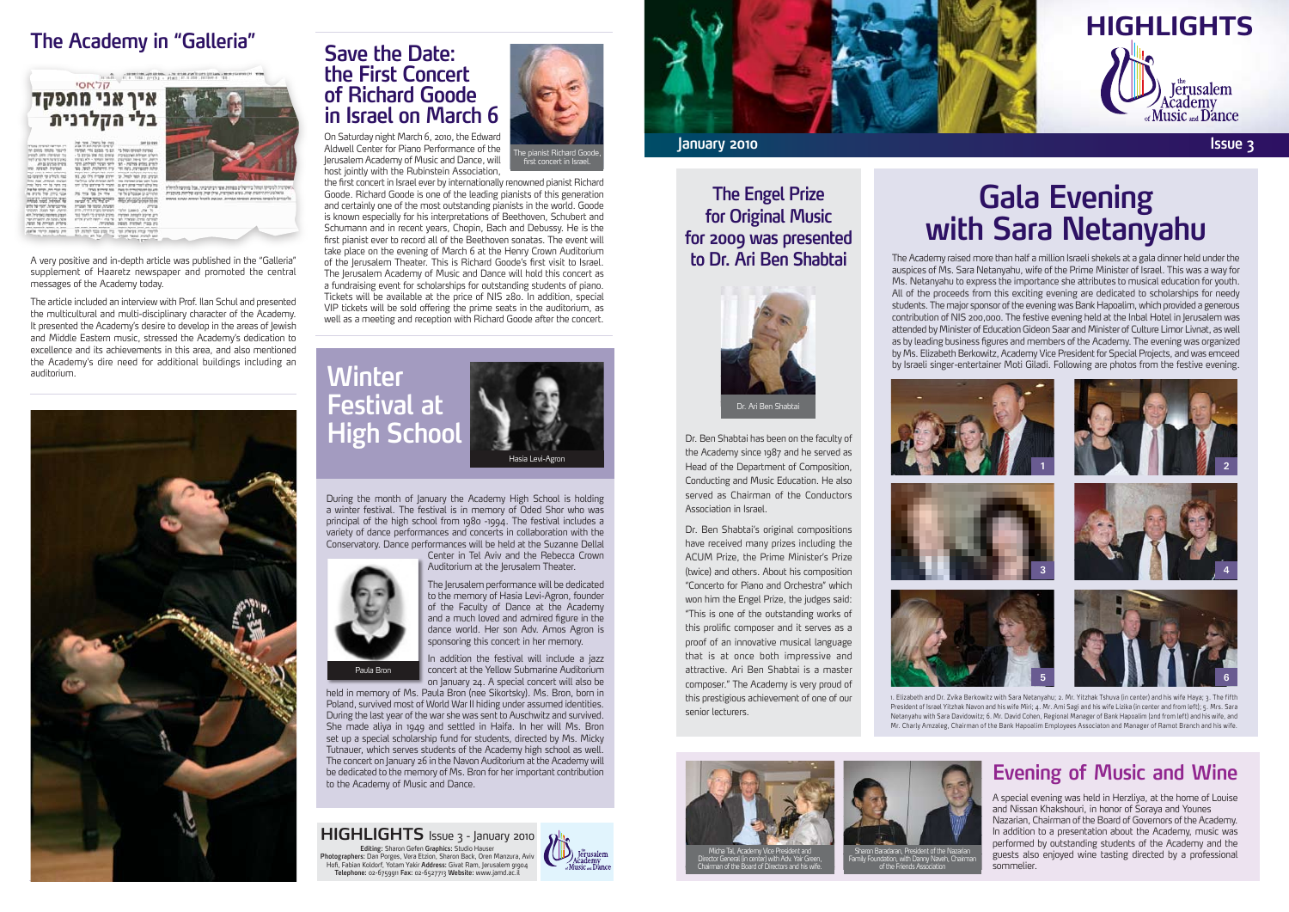#### **The Academy in "Galleria"**



A very positive and in-depth article was published in the "Galleria" supplement of Haaretz newspaper and promoted the central messages of the Academy today.

The article included an interview with Prof. Ilan Schul and presented the multicultural and multi-disciplinary character of the Academy. It presented the Academy's desire to develop in the areas of Jewish and Middle Eastern music, stressed the Academy's dedication to excellence and its achievements in this area, and also mentioned the Academy's dire need for additional buildings including an *auditorium.* **Winter** 



#### **Save the Date: the First Concert** of Richard Goode **in Israel on March 6**

On Saturday night March 6, 2010, the Edward Aldwell Center for Piano Performance of the Jerusalem Academy of Music and Dance, will host jointly with the Rubinstein Association,



#### **The Engel Prize for Original Music** for 2009 was presented to Dr. Ari Ben Shabtai



## **Evening Gala Netanyahu Sara with**

The Academy raised more than half a million Israeli shekels at a gala dinner held under the auspices of Ms. Sara Netanyahu, wife of the Prime Minister of Israel. This was a way for . Where the express the importance she attributes to musical education for youth. All of the proceeds from this exciting evening are dedicated to scholarships for needy students. The major sponsor of the evening was Bank Hapoalim, which provided a generous contribution of NIS 200,000. The festive evening held at the Inbal Hotel in Jerusalem was attended by Minister of Education Gideon Saar and Minister of Culture Limor Livnat, as well as by leading business figures and members of the Academy. The evening was organized by Ms. Elizabeth Berkowitz, Academy Vice President for Special Projects, and was emceed by Israeli singer-entertainer Moti Giladi. Following are photos from the festive evening.

### **Evening of Music and Wine**

A special evening was held in Herzliya, at the home of Louise and Nissan Khakshouri, in honor of Soraya and Younes Nazarian, Chairman of the Board of Governors of the Academy. In addition to a presentation about the Academy, music was performed by outstanding students of the Academy and the guests also enjoyed wine tasting directed by a professional .sommelier



5



1. Elizabeth and Dr. Zvika Berkowitz with Sara Netanyahu; 2. Mr. Yitzhak Tshuva (in center) and his wife Haya; 3. The fifth President of Israel Yitzhak Navon and his wife Miri; 4. Mr. Ami Sagi and his wife Lizika (in center and from left); 5. Mrs. Sara Netanyahu with Sara Davidowitz; 6. Mr. David Cohen, Regional Manager of Bank Hapoalim (2nd from left) and his wife, and Mr. Charly Amzaleg, Chairman of the Bank Hapoalim Employees Associaton and Manager of Ramot Branch and his wife.

6





Chairman of the Board of Directors and his wife.



Dr. Ben Shabtai has been on the faculty of the Academy since 1987 and he served as Head of the Department of Composition, Conducting and Music Education. He also served as Chairman of the Conductors Association in Israel.

Dr. Ben Shabtai's original compositions have received many prizes including the ACUM Prize, the Prime Minister's Prize (twice) and others. About his composition " Concerto for Piano and Orchestra" which won him the Engel Prize, the judges said: "This is one of the outstanding works of this prolific composer and it serves as a proof of an innovative musical language that is at once both impressive and attractive. Ari Ben Shabtai is a master composer." The Academy is very proud of this prestigious achievement of one of our senior lecturers.







During the month of January the Academy High School is holding a winter festival. The festival is in memory of Oded Shor who was principal of the high school from 1980 -1994. The festival includes a variety of dance performances and concerts in collaboration with the Conservatory. Dance performances will be held at the Suzanne Dellal

Center in Tel Aviv and the Rebecca Crown Auditorium at the Jerusalem Theater.



the first concert in Israel ever by internationally renowned pianist Richard Goode. Richard Goode is one of the leading pianists of this generation and certainly one of the most outstanding pianists in the world. Goode is known especially for his interpretations of Beethoven, Schubert and Schumann and in recent years, Chopin, Bach and Debussy. He is the first pianist ever to record all of the Beethoven sonatas. The event will take place on the evening of March 6 at the Henry Crown Auditorium of the Jerusalem Theater. This is Richard Goode's first visit to Israel. The Jerusalem Academy of Music and Dance will hold this concert as a fundraising event for scholarships for outstanding students of piano. Tickets will be available at the price of NIS 280. In addition, special VIP tickets will be sold offering the prime seats in the auditorium, as well as a meeting and reception with Richard Goode after the concert.



The Jerusalem performance will be dedicated to the memory of Hasia Levi-Agron, founder

of the Faculty of Dance at the Academy and a much loved and admired figure in the dance world. Her son Adv. Amos Agron is sponsoring this concert in her memory.

In addition the festival will include a jazz concert at the Yellow Submarine Auditorium on January 24. A special concert will also be

held in memory of Ms. Paula Bron (nee Sikortsky). Ms. Bron, born in Poland, survived most of World War II hiding under assumed identities. During the last year of the war she was sent to Auschwitz and survived. She made aliya in 1949 and settled in Haifa. In her will Ms. Bron set up a special scholarship fund for students, directed by Ms. Micky Tutnauer, which serves students of the Academy high school as well. The concert on January 26 in the Navon Auditorium at the Academy will be dedicated to the memory of Ms. Bron for her important contribution to the Academy of Music and Dance.

**HIGHLIGHTS** Issue 3 - January 2010

**Editing:** Sharon Gefen **Graphics:** Studio Hauser<br>Photographers: Dan Porges, Vera Etzion, Sharon Back, Oren Manzura, Aviv Hofi, Fabian Koldorf, Yotam Yakir **Address:** Givat Ram, Jerusalem 91904<br>T**elephone:** 02-6759911 **Fax:** 02-6527713 **Website:** www.jamd.ac.il